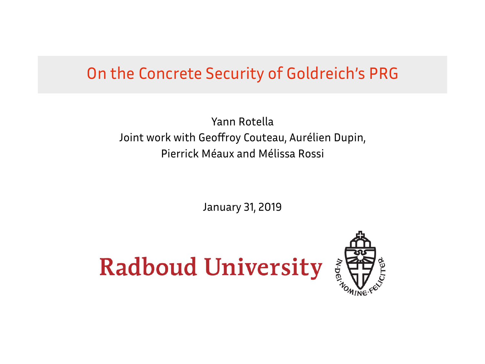#### On the Concrete Security of Goldreich's PRG

Yann Rotella Joint work with Geoffroy Couteau, Aurélien Dupin, Pierrick Méaux and Mélissa Rossi

January 31, 2019

## **Radboud University**

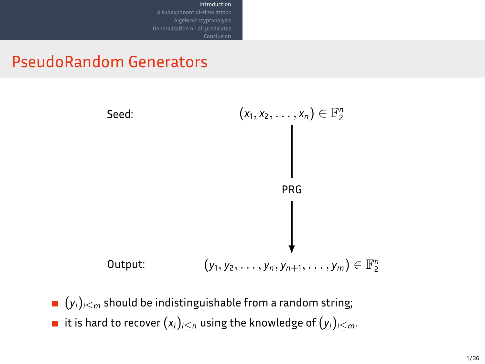

Introduction

- (*yi*)*<sup>i</sup>≤<sup>m</sup>* should be indistinguishable from a random string;
- it is hard to recover  $(x_i)_{i \leq n}$  using the knowledge of  $(y_i)_{i \leq m}$ .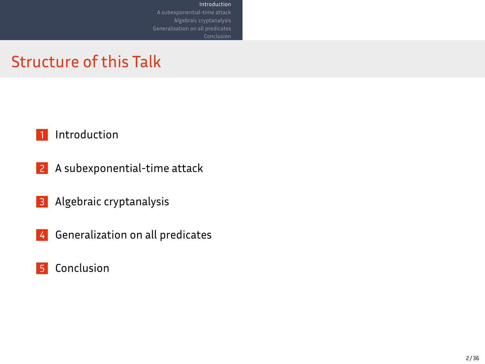### Structure of this Talk



2 A subexponential-time attack

Introduction

A subexponential-time attack Algebraic cryptanalysis Generalization on all predicates

**3** Algebraic cryptanalysis

4 Generalization on all predicates

**5** Conclusion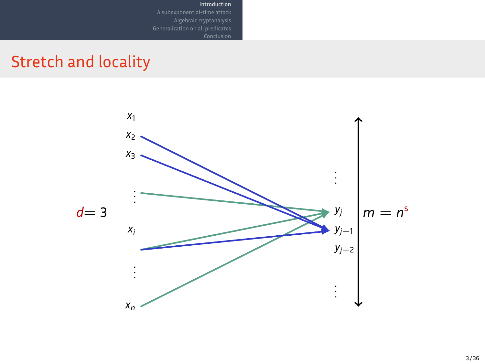

Introduction

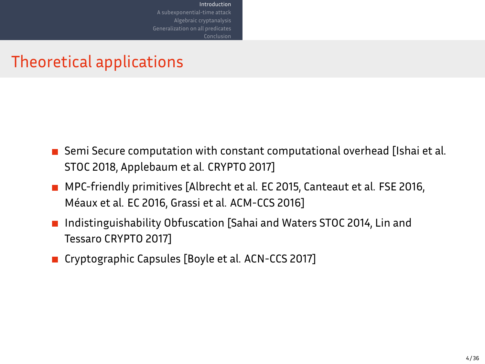#### Theoretical applications

- **B** Semi Secure computation with constant computational overhead [Ishai et al. STOC 2018, Applebaum et al. CRYPTO 2017]
- MPC-friendly primitives [Albrecht et al. EC 2015, Canteaut et al. FSE 2016, Méaux et al. EC 2016, Grassi et al. ACM-CCS 2016]

Introduction

- Indistinguishability Obfuscation [Sahai and Waters STOC 2014, Lin and Tessaro CRYPTO 2017]
- Cryptographic Capsules [Boyle et al. ACN-CCS 2017]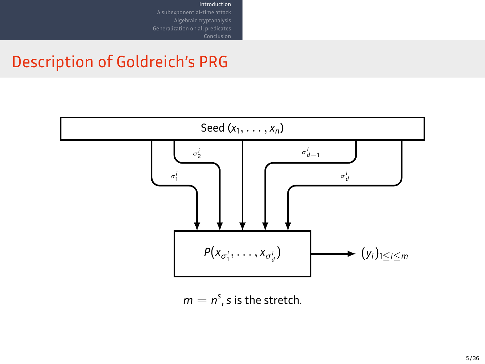# Description of Goldreich's PRG



 $m = n<sup>s</sup>$ , *s* is the stretch.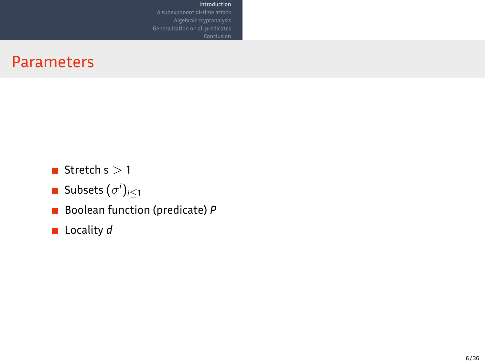#### Parameters

- Stretch s  $>$  1
- Subsets  $(\sigma^i)_{i\leq 1}$
- Boolean function (predicate) *P*

Introduction

A subexponential-time attack Algebraic cryptanalysis Generalization on all predicates

■ Locality *d*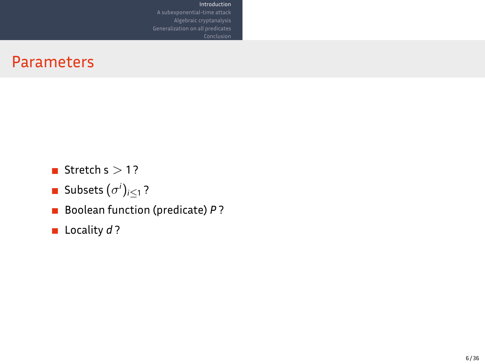#### Parameters

- $\blacksquare$  Stretch s  $>$  1?
- Subsets  $(\sigma^i)_{i\leq 1}$  ?
- Boolean function (predicate) *P* ?

Introduction

A subexponential-time attack Algebraic cryptanalysis Generalization on all predicates

**Locality** *d* ?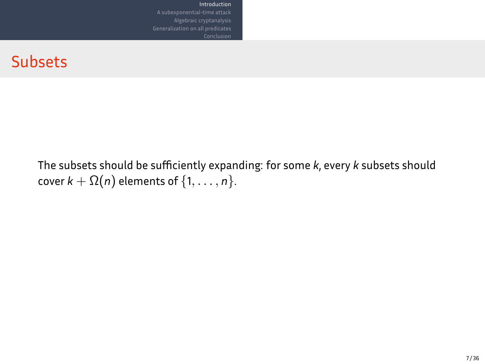Subsets

The subsets should be sufficiently expanding: for some *k*, every *k* subsets should  $\mathsf{cover}\ k + \Omega(n)$  elements of  $\{1,\ldots,n\}.$ 

Introduction Algebraic cryptanalysis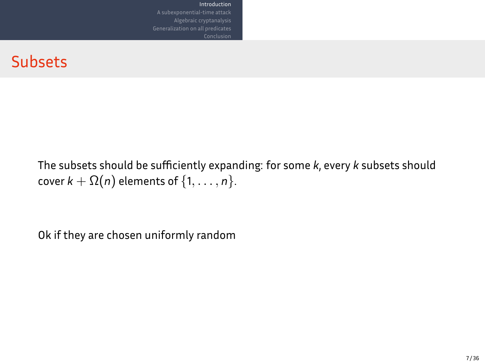Subsets

The subsets should be sufficiently expanding: for some *k*, every *k* subsets should  $\mathsf{cover}\ k + \Omega(n)$  elements of  $\{1,\ldots,n\}.$ 

Introduction Algebraic cryptanalysis

Ok if they are chosen uniformly random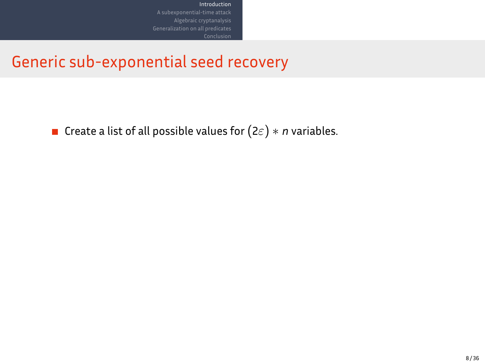Create a list of all possible values for(2*ε*) *∗ n* variables.

Algebraic cryptanalysis Generalization on all predicates

Introduction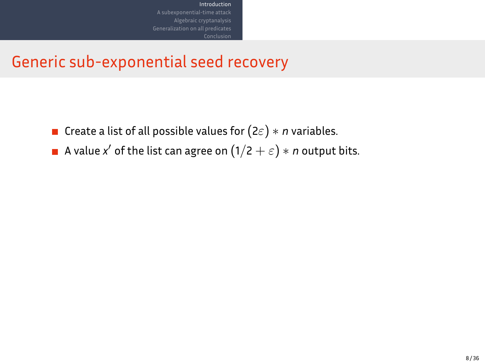Create a list of all possible values for(2*ε*) *∗ n* variables.

A subexponential-time attack Algebraic cryptanalysis Generalization on all predicates

A value  $\mathsf{x}'$  of the list can agree on  $(1/2+\varepsilon)*n$  output bits.

Introduction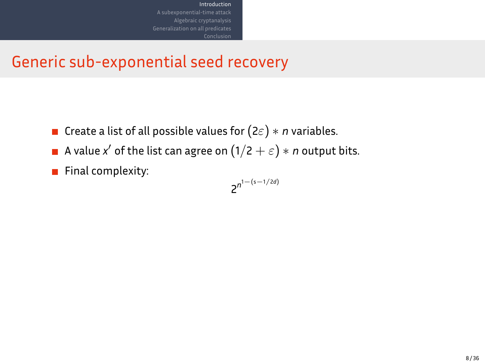Create a list of all possible values for(2*ε*) *∗ n* variables.

A subexponential-time attack Algebraic cryptanalysis Generalization on all predicates

A value  $\mathsf{x}'$  of the list can agree on  $(1/2+\varepsilon)*n$  output bits.

Introduction

Final complexity:

$$
2^{n^{1-\left(s-1/2d\right)}}
$$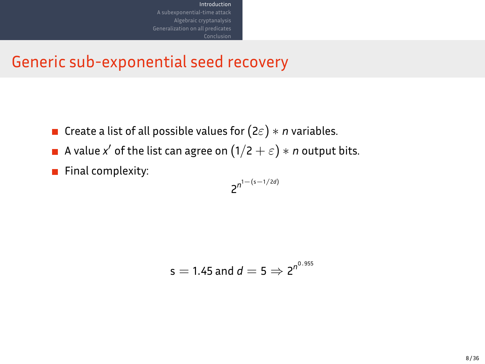Create a list of all possible values for(2*ε*) *∗ n* variables.

A subexponential-time attack Algebraic cryptanalysis Generalization on all predicates

A value  $\mathsf{x}'$  of the list can agree on  $(1/2+\varepsilon)*n$  output bits.

Introduction

Final complexity:

$$
2^{n^{1-\left(s-1/2d\right)}}
$$

$$
s=1.45 \text{ and } d=5 \Rightarrow 2^{n^{0.955}}
$$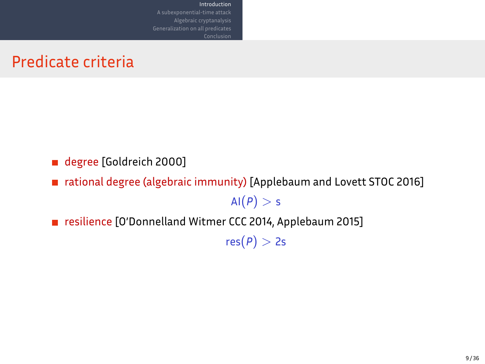Predicate criteria

- degree [Goldreich 2000]
- rational degree (algebraic immunity) [Applebaum and Lovett STOC 2016]

 $AI(P) > S$ 

resilience [O'Donnelland Witmer CCC 2014, Applebaum 2015]

Introduction Algebraic cryptanalysis

 $res(P) > 2s$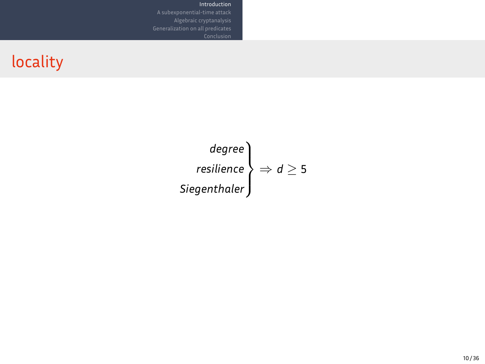locality

$$
\begin{array}{c}\n \text{degree} \\
\text{resilience} \\
\text{Siegenthaler}\n \end{array}\n \Rightarrow d \geq 5
$$

Introduction

A subexponential-time attack Algebraic cryptanalysis Generalization on all predicates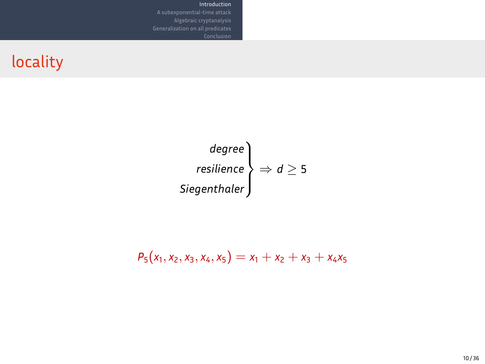### locality

$$
\begin{matrix}\n \text{degree} \\
\text{resilience} \\
\text{Siegenthaler}\n \end{matrix}\n \Rightarrow d \geq 5
$$

**Introduction**<br>A subexponential-time attack<br>Algebraic cryptanalysis<br>Generalization on all predicates

 $P_5(x_1, x_2, x_3, x_4, x_5) = x_1 + x_2 + x_3 + x_4x_5$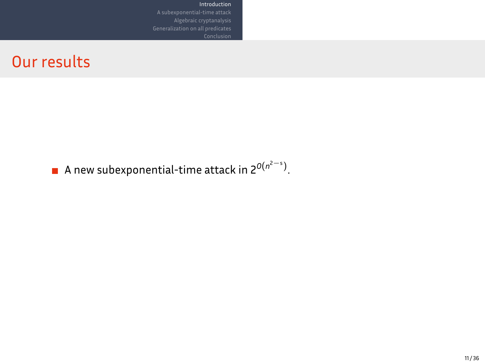A new subexponential-time attack in 2*<sup>O</sup>*(*<sup>n</sup>* 2*−*s ) .

Introduction Algebraic cryptanalysis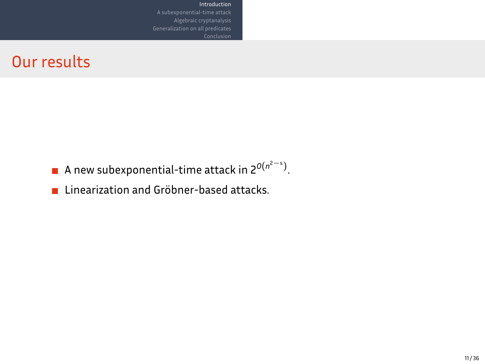A new subexponential-time attack in 2*<sup>O</sup>*(*<sup>n</sup>* 2*−*s )

Introduction

.

**E** Linearization and Gröbner-based attacks.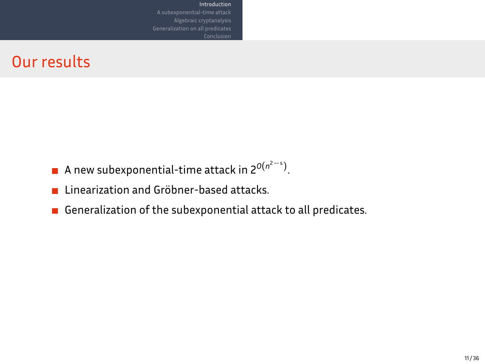- A new subexponential-time attack in 2*<sup>O</sup>*(*<sup>n</sup>* 2*−*s ) .
- **E** Linearization and Gröbner-based attacks.
- Generalization of the subexponential attack to all predicates.

Introduction Algebraic cryptanalysis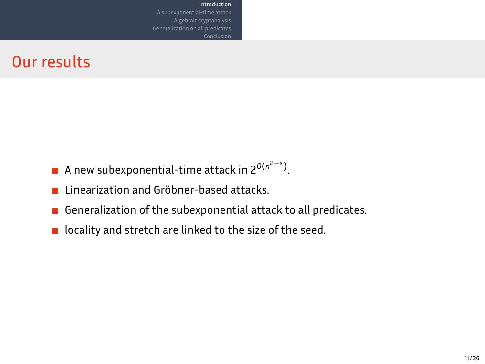- A new subexponential-time attack in 2*<sup>O</sup>*(*<sup>n</sup>* 2*−*s )
- **E** Linearization and Gröbner-based attacks.
- Generalization of the subexponential attack to all predicates.

.

Introduction Algebraic cryptanalysis

 $\blacksquare$  locality and stretch are linked to the size of the seed.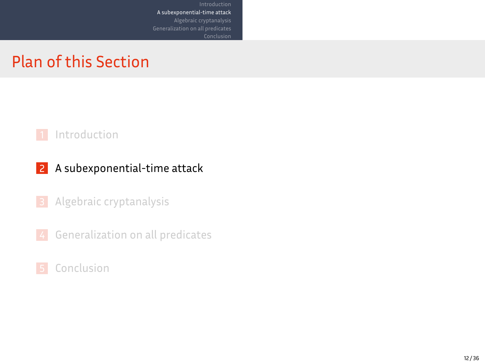#### Plan of this Section

Introduction<br>**A subexponential-time attack**<br>Algebraic cryptanalysis<br>Generalization on all predicates



Conclusion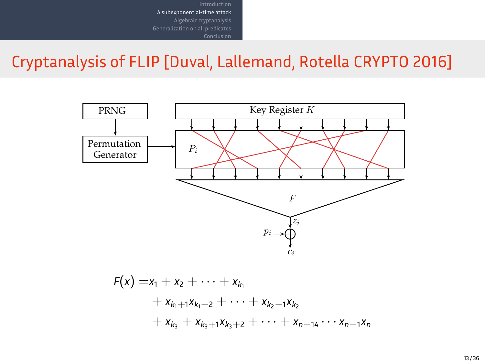Cryptanalysis of FLIP [Duval, Lallemand, Rotella CRYPTO 2016]

Introduction<br>**A subexponential-time attack**<br>Algebraic cryptanalysis<br>Generalization on all predicates



 $F(x) = x_1 + x_2 + \cdots + x_{k_1}$  $+ x_{k_1+1}x_{k_1+2} + \cdots + x_{k_2-1}x_{k_2}$  $+ x_{k_3} + x_{k_3+1}x_{k_3+2} + \cdots + x_{n-14}\cdots x_{n-1}x_n$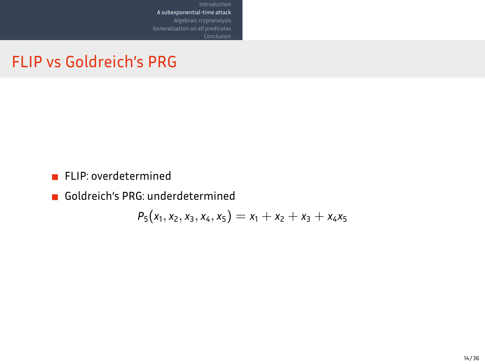FLIP vs Goldreich's PRG

- **FLIP:** overdetermined
- Goldreich's PRG: underdetermined

$$
P_5(x_1,x_2,x_3,x_4,x_5)=x_1+x_2+x_3+x_4x_5\\
$$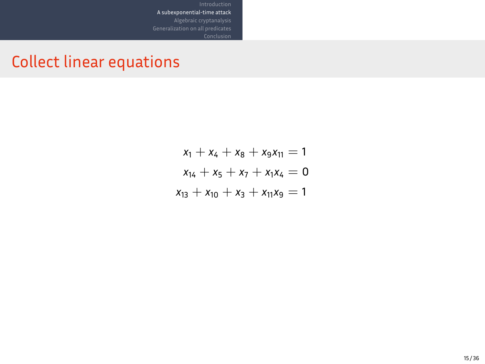Collect linear equations

 $x_1 + x_4 + x_8 + x_9x_{11} = 1$  $x_{14} + x_5 + x_7 + x_1x_4 = 0$  $x_{13} + x_{10} + x_3 + x_{11}x_9 = 1$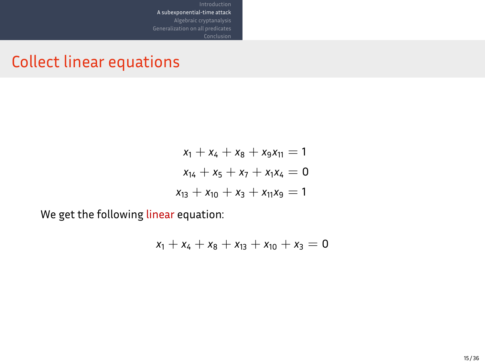Collect linear equations

$$
x_1 + x_4 + x_8 + x_9x_{11} = 1
$$
  

$$
x_{14} + x_5 + x_7 + x_1x_4 = 0
$$
  

$$
x_{13} + x_{10} + x_3 + x_{11}x_9 = 1
$$

Introduction<br>**A subexponential-time attack**<br>Algebraic cryptanalysis<br>Generalization on all predicates

We get the following linear equation:

 $x_1 + x_4 + x_8 + x_{13} + x_{10} + x_3 = 0$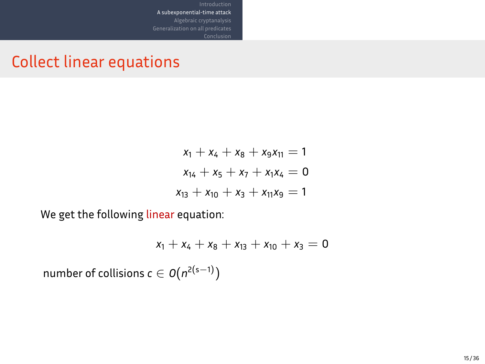### Collect linear equations

$$
x_1 + x_4 + x_8 + x_9x_{11} = 1
$$
  

$$
x_{14} + x_5 + x_7 + x_1x_4 = 0
$$
  

$$
x_{13} + x_{10} + x_3 + x_{11}x_9 = 1
$$

Introduction<br>**A subexponential-time attack**<br>Algebraic cryptanalysis<br>Generalization on all predicates

We get the following linear equation:

$$
x_1 + x_4 + x_8 + x_{13} + x_{10} + x_3 = 0
$$

 $\mathsf{number}\ \mathsf{of}\ \mathsf{collisions}\ \mathsf{c}\in\mathsf{O}(n^{2(\mathsf{s}-1)})$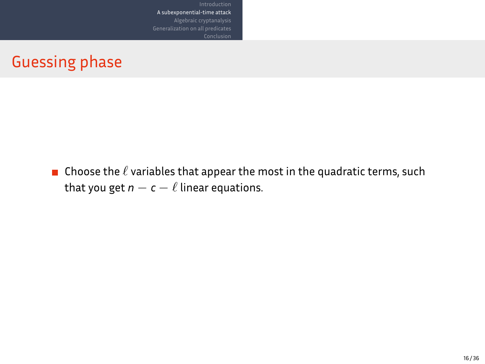Guessing phase

**n** Choose the  $\ell$  variables that appear the most in the quadratic terms, such that you get  $n - c - \ell$  linear equations.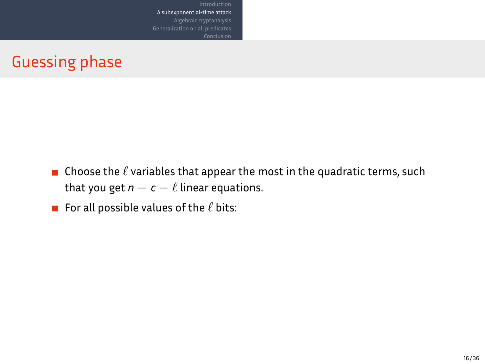Guessing phase

**n** Choose the  $\ell$  variables that appear the most in the quadratic terms, such that you get  $n - c - \ell$  linear equations.

Introduction<br>A subexponential-time attack<br>Algebraic cryptanalysis

For all possible values of the *ℓ* bits: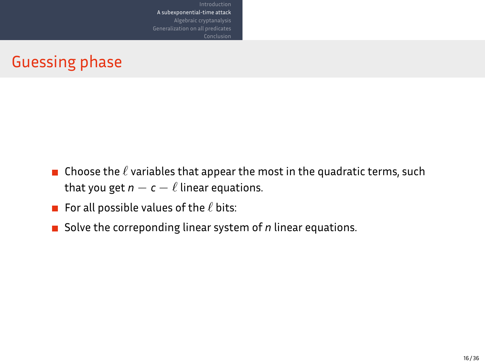### Guessing phase

- **n** Choose the  $\ell$  variables that appear the most in the quadratic terms, such that you get  $n - c - \ell$  linear equations.
- For all possible values of the *ℓ* bits:
- Solve the correponding linear system of *n* linear equations.

Introduction<br>A subexponential-time attack<br>Algebraic cryptanalysis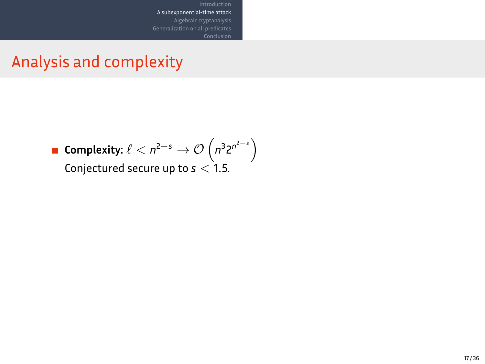Analysis and complexity

 $\mathsf{Complexity:} \ \ell < n^{2-s} \rightarrow \mathcal{O}\left(n^3 2^{n^{2-s}}\right)$ Conjectured secure up to *s <* 1*.*5.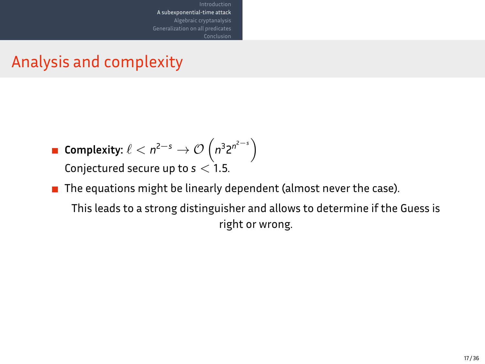#### Analysis and complexity

 $\mathsf{Complexity:} \ \ell < n^{2-s} \rightarrow \mathcal{O}\left(n^3 2^{n^{2-s}}\right)$ Conjectured secure up to *s <* 1*.*5.

A subexponential-time attack Algebraic cryptanalysis

The equations might be linearly dependent (almost never the case). This leads to a strong distinguisher and allows to determine if the Guess is right or wrong.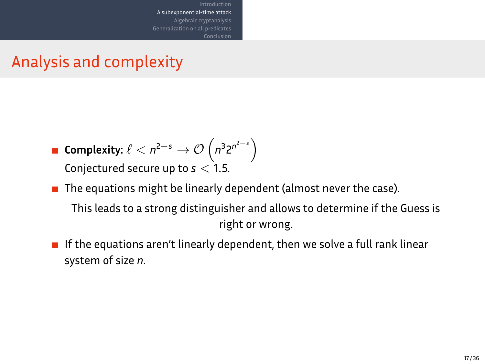#### Analysis and complexity

 $\mathsf{Complexity:} \ \ell < n^{2-s} \rightarrow \mathcal{O}\left(n^3 2^{n^{2-s}}\right)$ Conjectured secure up to *s <* 1*.*5.

A subexponential-time attack algebrai

- The equations might be linearly dependent (almost never the case). This leads to a strong distinguisher and allows to determine if the Guess is right or wrong.
- $\blacksquare$  If the equations aren't linearly dependent, then we solve a full rank linear system of size *n*.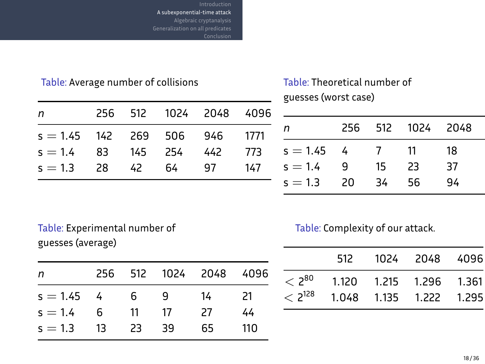#### $A$  sub Algebraic cryptanalysis

#### Table: Average number of collisions

| n                               |       | 256 512 1024 2048 4096 |       |
|---------------------------------|-------|------------------------|-------|
| $s = 1.45$ 142 269 506 946 1771 |       |                        |       |
| $s = 1.4$ 83 145 254            |       | 442                    | - 773 |
| $s = 1.3$ 28                    | 42 64 | - 97                   | 147   |
|                                 |       |                        |       |

#### Table: Theoretical number of guesses (worst case)

| n          | 256. | 512            |      | 1024 2048 4096 |     |
|------------|------|----------------|------|----------------|-----|
| $s = 1.45$ | - 4  | $\overline{7}$ | - 11 | 18             | 27  |
| $s = 1.4$  | q    | 15             | 23   | -37            | 58  |
| $s = 1.3$  | 20   | 34             | 56   | 94             | 156 |
|            |      |                |      |                |     |

#### Table: Experimental number of guesses (average)

| n          | 256 | 512 | 1024 2048 |    | 4096 |
|------------|-----|-----|-----------|----|------|
| $s = 1.45$ | - 4 | - 6 | q         | 14 | 21   |
| $s = 1.4$  | 6   | 11  | 17        | 27 | 44   |
| $s = 1.3$  | -13 | 23  | 39        | 65 | 110  |

#### Table: Complexity of our attack.

|                     | 512                                                                     | 1024 2048 4096 |  |
|---------------------|-------------------------------------------------------------------------|----------------|--|
| $<$ 3 <sup>80</sup> | 1.120  1.215  1.296  1.361<br>$\langle 2^{128}$ 1.048 1.135 1.222 1.295 |                |  |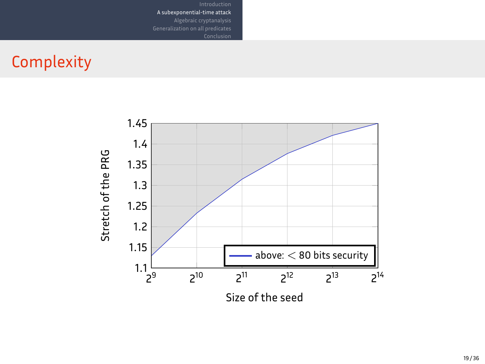## **Complexity**



Introduction<br>A subexponential-time attack<br>Algebraic cryptanalysis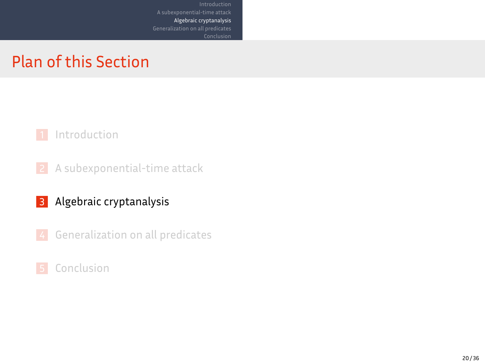### Plan of this Section

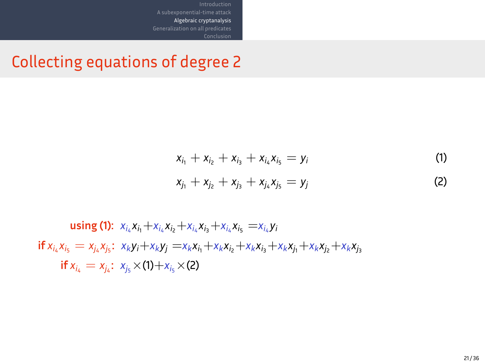### Collecting equations of degree 2

$$
x_{i_1} + x_{i_2} + x_{i_3} + x_{i_4}x_{i_5} = y_i
$$
  
\n
$$
x_{j_1} + x_{j_2} + x_{j_3} + x_{j_4}x_{j_5} = y_j
$$
\n(1)

**using (1):**  $x_{i_4}x_{i_1}+x_{i_4}x_{i_2}+x_{i_4}x_{i_3}+x_{i_4}x_{i_5} = x_{i_4}y_i$ if  $x_{i_4}x_{i_5} = x_{j_4}x_{j_5}$ :  $x_ky_i+x_ky_j = x_kx_{i_1}+x_kx_{i_2}+x_kx_{i_3}+x_kx_{j_1}+x_kx_{j_2}+x_kx_{j_3}$ **if**  $x_{i_4} = x_{j_4}$ :  $x_{j_5} \times (1) + x_{i_5} \times (2)$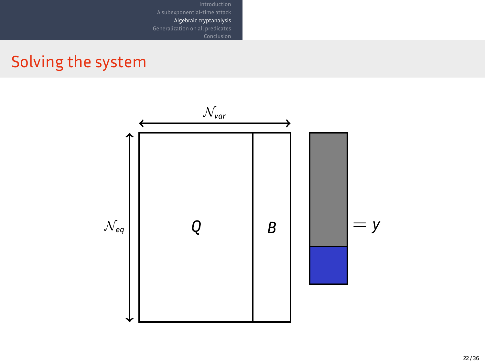## Solving the system

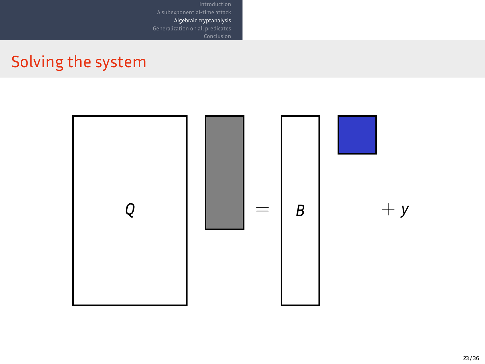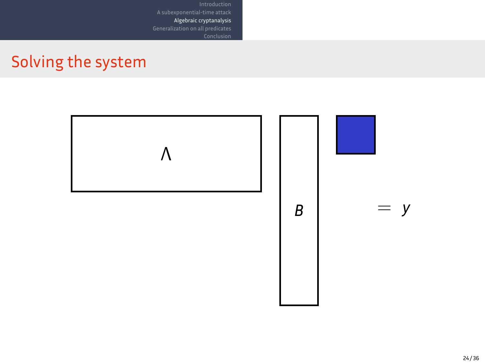## Solving the system



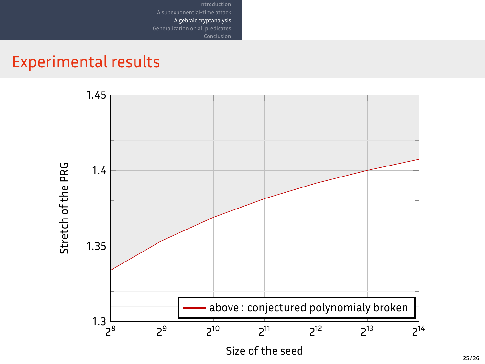## Experimental results

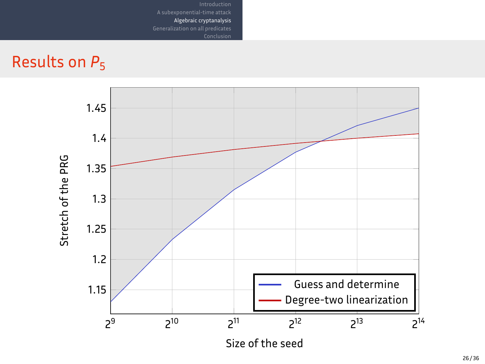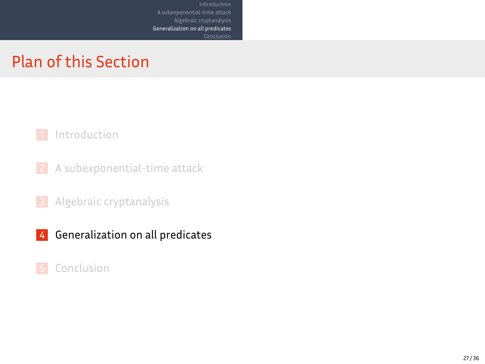#### Plan of this Section

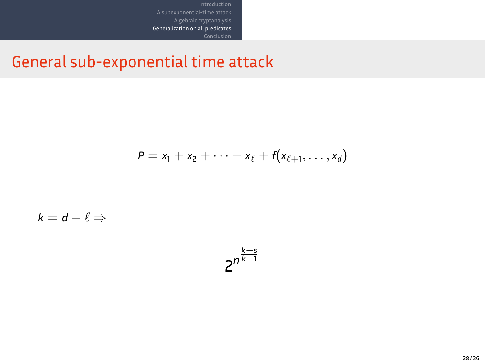General sub-exponential time attack

Introduction<br>Algebraic attack<br>Algebraic cryptanalysis<br>Generalization on all predicates<br>Conclusion

$$
P = x_1 + x_2 + \cdots + x_{\ell} + f(x_{\ell+1}, \ldots, x_d)
$$

 $k = d - \ell \Rightarrow$ 

$$
2^{n^{\frac{k-s}{k-1}}}
$$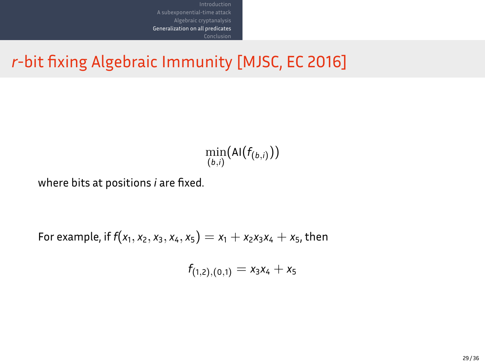*r*-bit fixing Algebraic Immunity [MJSC, EC 2016]

Introduction<br>Algebraic attack<br>Algebraic cryptanalysis<br>Generalization on all predicates<br>Conclusion

$$
\min_{(b,i)}(\mathrm{Al}(f_{(b,i)}))
$$

where bits at positions *i* are fixed.

For example, if  $f(x_1, x_2, x_3, x_4, x_5) = x_1 + x_2x_3x_4 + x_5$ , then

 $f_{(1,2),(0,1)} = x_3x_4 + x_5$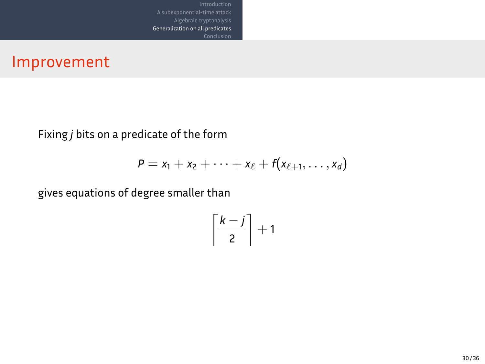Improvement

Fixing *j* bits on a predicate of the form

$$
P = x_1 + x_2 + \cdots + x_{\ell} + f(x_{\ell+1}, \ldots, x_d)
$$

Introduction<br>Algebraic attack<br>Algebraic cryptanalysis<br>Generalization on all predicates<br>Conclusion

gives equations of degree smaller than

$$
\left\lceil \frac{k-j}{2} \right\rceil + 1
$$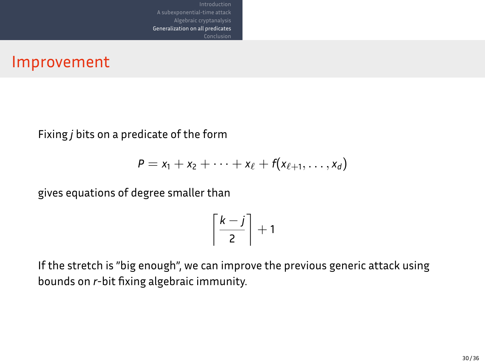Improvement

Fixing *j* bits on a predicate of the form

$$
P = x_1 + x_2 + \cdots + x_{\ell} + f(x_{\ell+1}, \ldots, x_d)
$$

Algebraic cryptanalysis Generalization on all predicates

gives equations of degree smaller than

$$
\left\lceil \frac{k-j}{2} \right\rceil + 1
$$

If the stretch is "big enough", we can improve the previous generic attack using bounds on *r*-bit fixing algebraic immunity.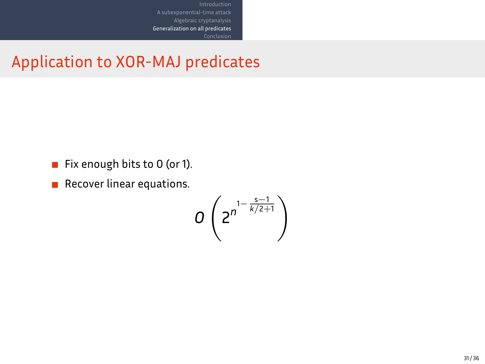Application to XOR-MAJ predicates

Introduction<br>Algebraic attack<br>Algebraic cryptanalysis<br>Generalization on all predicates<br>Conclusion

- Fix enough bits to 0 (or 1).
- **Recover linear equations.**

$$
0\left(2^{n^{1-\frac{s-1}{k/2+1}}}\right)
$$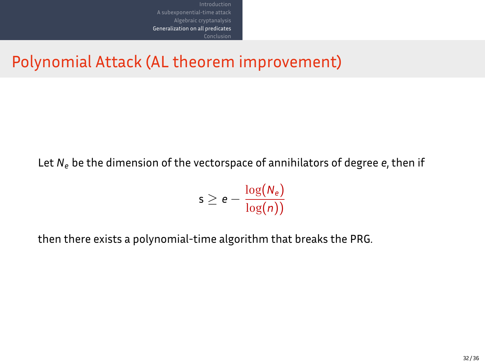Polynomial Attack (AL theorem improvement)

A subexponential-time attack Algebraic cryptanalysis Generalization on all predicates

Let *N<sup>e</sup>* be the dimension of the vectorspace of annihilators of degree *e*, then if

$$
\mathsf{s} \geq \mathsf{e} - \frac{\log(N_\mathsf{e})}{\log(n))}
$$

then there exists a polynomial-time algorithm that breaks the PRG.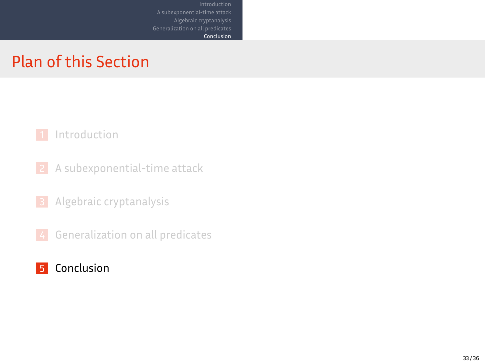### Plan of this Section

A subexponential-time attack Algebraic cryptanalysis Generalization on all predicates

Conclusion

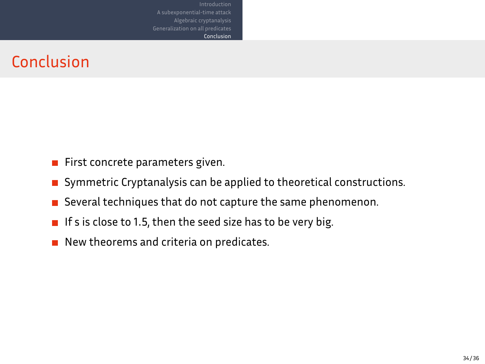#### Conclusion

- $\blacksquare$  First concrete parameters given.
- $\blacksquare$  Symmetric Cryptanalysis can be applied to theoretical constructions.
- $\blacksquare$  Several techniques that do not capture the same phenomenon.

Algebraic cryptanalysis Conclusion

- $\blacksquare$  If s is close to 1.5, then the seed size has to be very big.
- New theorems and criteria on predicates.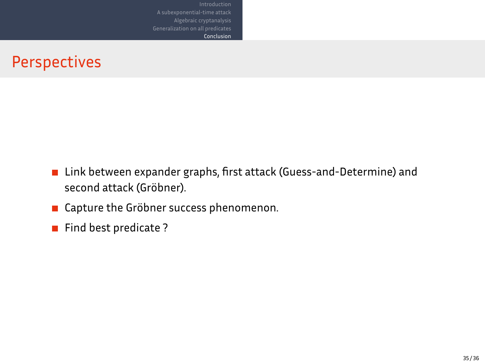### Perspectives

Link between expander graphs, first attack (Guess-and-Determine) and second attack (Gröbner).

Algebraic cryptanalysis Conclusion

- **E** Capture the Gröbner success phenomenon.
- Find best predicate?